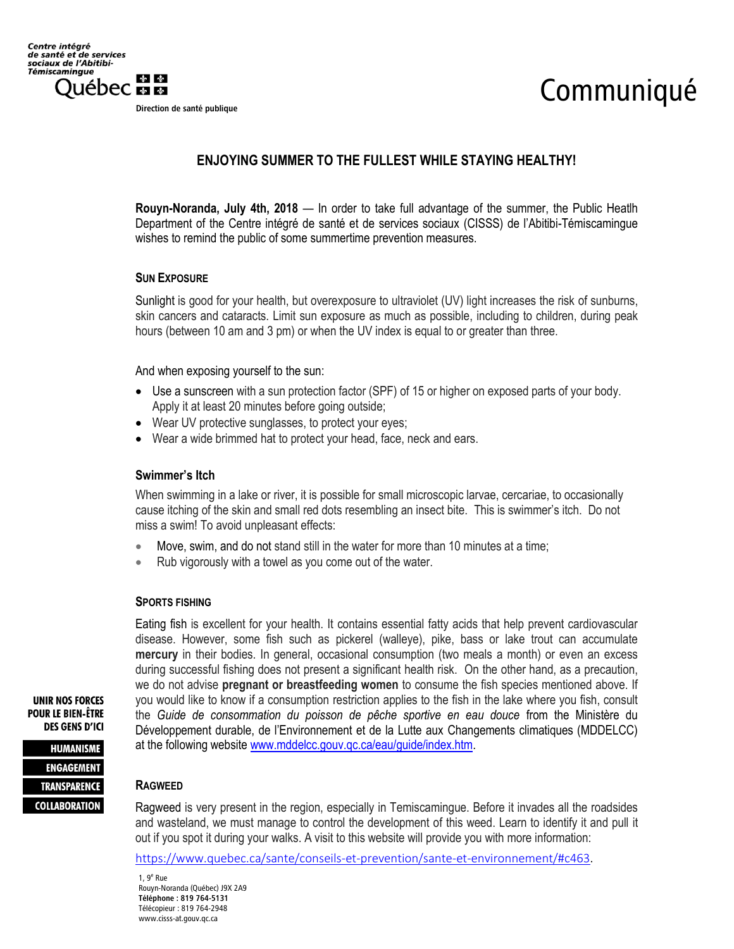Direction de santé publique

# Communiqué

## **ENJOYING SUMMER TO THE FULLEST WHILE STAYING HEALTHY!**

**Rouyn-Noranda, July 4th, 2018** — In order to take full advantage of the summer, the Public Heatlh Department of the Centre intégré de santé et de services sociaux (CISSS) de l'Abitibi-Témiscamingue wishes to remind the public of some summertime prevention measures.

#### **SUN EXPOSURE**

Sunlight is good for your health, but overexposure to ultraviolet (UV) light increases the risk of sunburns, skin cancers and cataracts. Limit sun exposure as much as possible, including to children, during peak hours (between 10 am and 3 pm) or when the UV index is equal to or greater than three.

And when exposing yourself to the sun:

- Use a sunscreen with a sun protection factor (SPF) of 15 or higher on exposed parts of your body. Apply it at least 20 minutes before going outside;
- Wear UV protective sunglasses, to protect your eyes;
- Wear a wide brimmed hat to protect your head, face, neck and ears.

#### **Swimmer's Itch**

When swimming in a lake or river, it is possible for small microscopic larvae, cercariae, to occasionally cause itching of the skin and small red dots resembling an insect bite. This is swimmer's itch. Do not miss a swim! To avoid unpleasant effects:

- Move, swim, and do not stand still in the water for more than 10 minutes at a time;
- Rub vigorously with a towel as you come out of the water.

#### **SPORTS FISHING**

Eating fish is excellent for your health. It contains essential fatty acids that help prevent cardiovascular disease. However, some fish such as pickerel (walleye), pike, bass or lake trout can accumulate **mercury** in their bodies. In general, occasional consumption (two meals a month) or even an excess during successful fishing does not present a significant health risk. On the other hand, as a precaution, we do not advise **pregnant or breastfeeding women** to consume the fish species mentioned above. If you would like to know if a consumption restriction applies to the fish in the lake where you fish, consult the *Guide de consommation du poisson de pêche sportive en eau douce* from the Ministère du Développement durable, de l'Environnement et de la Lutte aux Changements climatiques (MDDELCC) at the following website [www.mddelcc.gouv.qc.ca/eau/guide/index.htm.](http://www.mddelcc.gouv.qc.ca/eau/guide/index.htm)

**UNIR NOS FORCES POUR LE BIEN-ÊTRE DES GENS D'ICI** 

**HUMANISME ENGAGEMENT TRANSPARENCE COLLABORATION** 

### **RAGWEED**

Ragweed is very present in the region, especially in Temiscamingue. Before it invades all the roadsides and wasteland, we must manage to control the development of this weed. Learn to identify it and pull it out if you spot it during your walks. A visit to this website will provide you with more information:

<https://www.quebec.ca/sante/conseils-et-prevention/sante-et-environnement/#c463>.

1, 9<sup>e</sup> Rue Rouyn-Noranda (Québec) J9X 2A9 Téléphone : 819 764-5131 Télécopieur : 819 764-2948 www.cisss-at.gouv.qc.ca